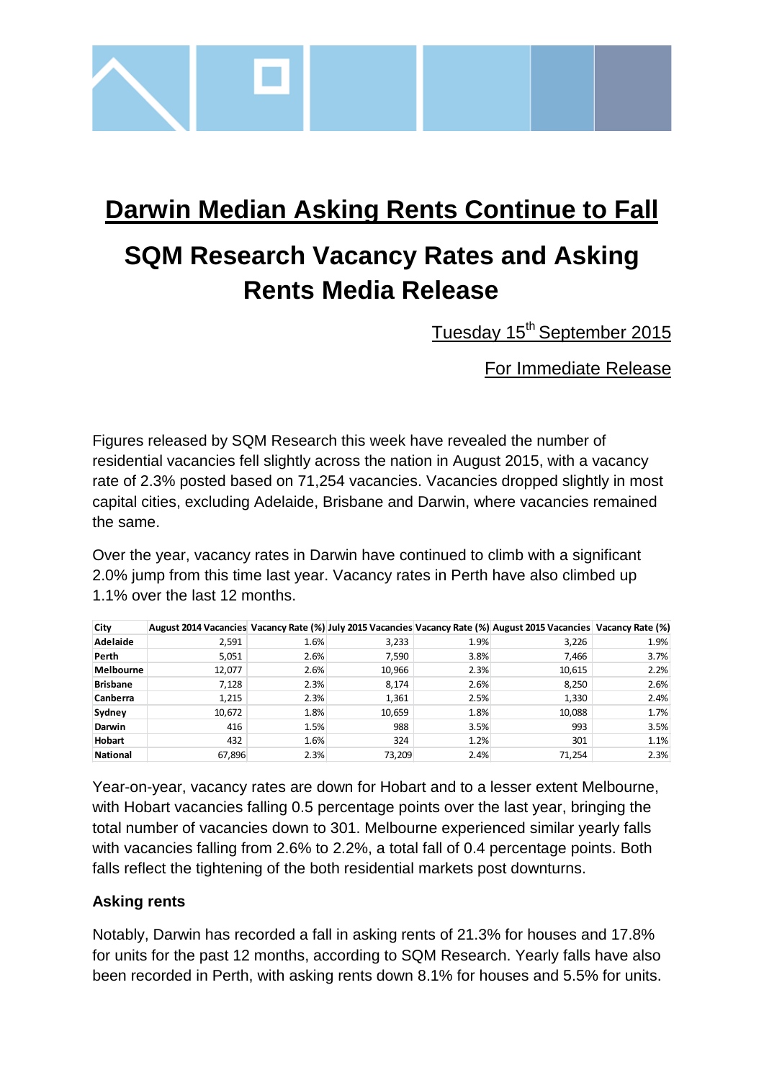

## **Darwin Median Asking Rents Continue to Fall**

# **SQM Research Vacancy Rates and Asking Rents Media Release**

Tuesday 15<sup>th</sup> September 2015

For Immediate Release

Figures released by SQM Research this week have revealed the number of residential vacancies fell slightly across the nation in August 2015, with a vacancy rate of 2.3% posted based on 71,254 vacancies. Vacancies dropped slightly in most capital cities, excluding Adelaide, Brisbane and Darwin, where vacancies remained the same.

Over the year, vacancy rates in Darwin have continued to climb with a significant 2.0% jump from this time last year. Vacancy rates in Perth have also climbed up 1.1% over the last 12 months.

| City            |        |      |        |      | August 2014 Vacancies Vacancy Rate (%) July 2015 Vacancies Vacancy Rate (%) August 2015 Vacancies Vacancy Rate (%) |      |
|-----------------|--------|------|--------|------|--------------------------------------------------------------------------------------------------------------------|------|
| Adelaide        | 2,591  | 1.6% | 3,233  | 1.9% | 3,226                                                                                                              | 1.9% |
| Perth           | 5,051  | 2.6% | 7,590  | 3.8% | 7,466                                                                                                              | 3.7% |
| Melbourne       | 12,077 | 2.6% | 10,966 | 2.3% | 10,615                                                                                                             | 2.2% |
| <b>Brisbane</b> | 7,128  | 2.3% | 8,174  | 2.6% | 8,250                                                                                                              | 2.6% |
| <b>Canberra</b> | 1,215  | 2.3% | 1,361  | 2.5% | 1,330                                                                                                              | 2.4% |
| Sydney          | 10,672 | 1.8% | 10,659 | 1.8% | 10,088                                                                                                             | 1.7% |
| Darwin          | 416    | 1.5% | 988    | 3.5% | 993                                                                                                                | 3.5% |
| <b>Hobart</b>   | 432    | 1.6% | 324    | 1.2% | 301                                                                                                                | 1.1% |
| <b>National</b> | 67,896 | 2.3% | 73.209 | 2.4% | 71.254                                                                                                             | 2.3% |

Year-on-year, vacancy rates are down for Hobart and to a lesser extent Melbourne, with Hobart vacancies falling 0.5 percentage points over the last year, bringing the total number of vacancies down to 301. Melbourne experienced similar yearly falls with vacancies falling from 2.6% to 2.2%, a total fall of 0.4 percentage points. Both falls reflect the tightening of the both residential markets post downturns.

### **Asking rents**

Notably, Darwin has recorded a fall in asking rents of 21.3% for houses and 17.8% for units for the past 12 months, according to SQM Research. Yearly falls have also been recorded in Perth, with asking rents down 8.1% for houses and 5.5% for units.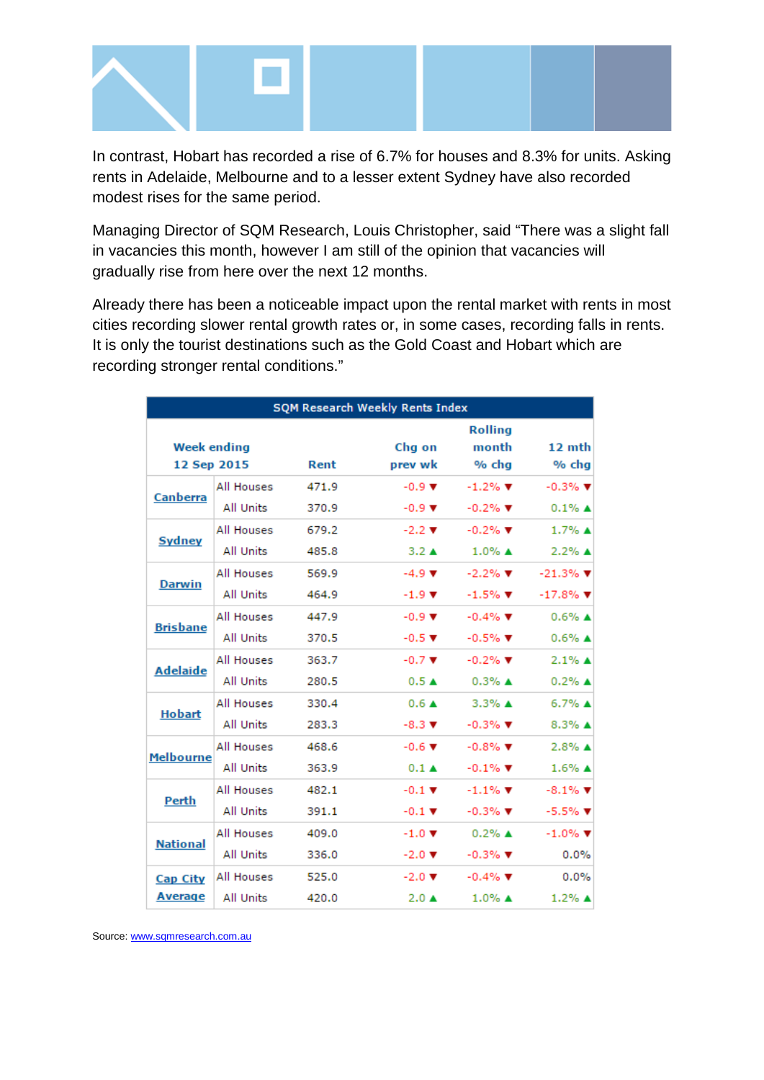

In contrast, Hobart has recorded a rise of 6.7% for houses and 8.3% for units. Asking rents in Adelaide, Melbourne and to a lesser extent Sydney have also recorded modest rises for the same period.

Managing Director of SQM Research, Louis Christopher, said "There was a slight fall in vacancies this month, however I am still of the opinion that vacancies will gradually rise from here over the next 12 months.

Already there has been a noticeable impact upon the rental market with rents in most cities recording slower rental growth rates or, in some cases, recording falls in rents. It is only the tourist destinations such as the Gold Coast and Hobart which are recording stronger rental conditions."

| <b>SQM Research Weekly Rents Index</b>    |                   |       |                             |                                  |                                |  |  |  |
|-------------------------------------------|-------------------|-------|-----------------------------|----------------------------------|--------------------------------|--|--|--|
| <b>Week ending</b><br>12 Sep 2015<br>Rent |                   |       | Chg on<br>prev wk           | <b>Rolling</b><br>month<br>% chg | 12 mth<br>% chg                |  |  |  |
| <b>Canberra</b>                           | All Houses        | 471.9 | $-0.9$ $\blacktriangledown$ | $-1.2\%$ $\blacktriangledown$    | $-0.3%$ $\Psi$                 |  |  |  |
|                                           | <b>All Units</b>  | 370.9 | $-0.9$ $\blacktriangledown$ | $-0.2%$ $\Psi$                   | $0.1\%$ $\triangle$            |  |  |  |
| <b>Sydney</b>                             | All Houses        | 679.2 | $-2.2$ $\blacktriangledown$ | $-0.2\%$ $\Psi$                  | $1.7\%$ $\triangle$            |  |  |  |
|                                           | <b>All Units</b>  | 485.8 | $3.2 \triangle$             | $1.0\%$ A                        | $2.2\%$ $\triangle$            |  |  |  |
| <b>Darwin</b>                             | All Houses        | 569.9 | $-4.9$ $\blacktriangledown$ | $-2.2%$ $\blacktriangledown$     | $-21.3\%$ $\blacktriangledown$ |  |  |  |
|                                           | <b>All Units</b>  | 464.9 | $-1.9$ $\times$             | $-1.5%$ $\triangledown$          | $-17.8%$                       |  |  |  |
| <b>Brisbane</b>                           | All Houses        | 447.9 | $-0.9$ $\blacktriangledown$ | $-0.4\%$ $\Psi$                  | $0.6\%$ $\triangle$            |  |  |  |
|                                           | <b>All Units</b>  | 370.5 | $-0.5$ $\times$             | $-0.5%$ $\Psi$                   | $0.6\%$ $\triangle$            |  |  |  |
| <b>Adelaide</b>                           | <b>All Houses</b> | 363.7 | $-0.7$ $\blacktriangledown$ | $-0.2\%$ $\Psi$                  | $2.1\%$ $\triangle$            |  |  |  |
|                                           | All Units         | 280.5 | 0.5A                        | $0.3%$ $\triangle$               | $0.2%$ $\triangle$             |  |  |  |
| <b>Hobart</b>                             | All Houses        | 330.4 | $0.6 \triangle$             | $3.3\%$ $\triangle$              | $6.7\%$ $\triangle$            |  |  |  |
|                                           | All Units         | 283.3 | $-8.3 \; \nabla$            | $-0.3\%$ $\Psi$                  | $8.3\%$ $\triangle$            |  |  |  |
| <b>Melbourne</b>                          | <b>All Houses</b> | 468.6 | $-0.6$ $\blacktriangledown$ | $-0.8\%$ $\Psi$                  | $2.8\%$ $\triangle$            |  |  |  |
|                                           | <b>All Units</b>  | 363.9 | $0.1 \triangle$             | $-0.1\%$ $\Psi$                  | $1.6\%$ $\triangle$            |  |  |  |
| Perth                                     | All Houses        | 482.1 | $-0.1$ $\blacktriangledown$ | $-1.1\%$ $\Psi$                  | $-8.1\%$ $\Psi$                |  |  |  |
|                                           | All Units         | 391.1 | $-0.1$ $\blacktriangledown$ | $-0.3\%$ $\Psi$                  | $-5.5\%$ $\blacktriangledown$  |  |  |  |
| <b>National</b>                           | All Houses        | 409.0 | $-1.0$ $\blacktriangledown$ | $0.2\%$ $\triangle$              | $-1.0\%$ $\Psi$                |  |  |  |
|                                           | All Units         | 336.0 | $-2.0$ $\blacktriangledown$ | $-0.3\%$                         | 0.0%                           |  |  |  |
| <b>Cap City</b>                           | All Houses        | 525.0 | $-2.0$ $\blacktriangledown$ | $-0.4\%$ $\Psi$                  | 0.0%                           |  |  |  |
| <b>Average</b>                            | All Units         | 420.0 | $2.0 \triangle$             | $1.0\%$ A                        | $1.2\%$ $\triangle$            |  |  |  |

Source: [www.sqmresearch.com.au](http://www.sqmresearch.com.au/)